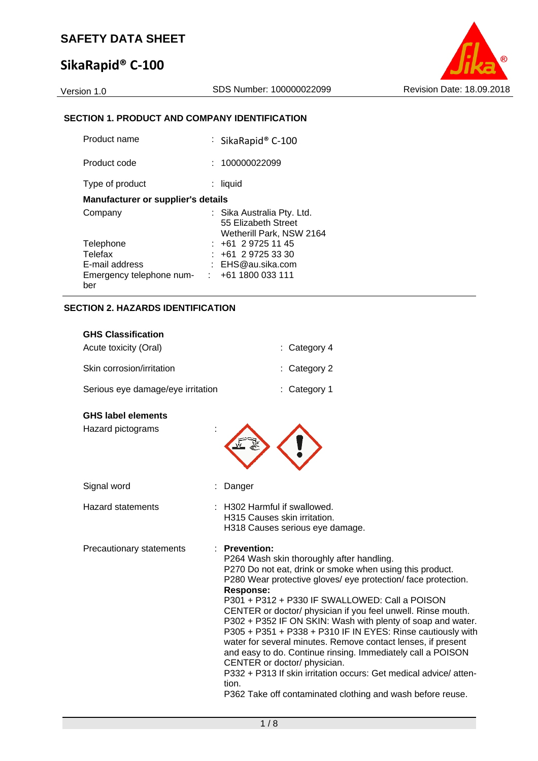# **SikaRapid® C‐100**



### **SECTION 1. PRODUCT AND COMPANY IDENTIFICATION**

| Product name                                               | : SikaRapid® C-100                                                            |
|------------------------------------------------------------|-------------------------------------------------------------------------------|
| Product code                                               | : 100000022099                                                                |
| Type of product                                            | liquid                                                                        |
| <b>Manufacturer or supplier's details</b>                  |                                                                               |
| Company                                                    | : Sika Australia Pty. Ltd.<br>55 Elizabeth Street<br>Wetherill Park, NSW 2164 |
| Telephone                                                  | $: +61297251145$                                                              |
| Telefax                                                    | $: +61297253330$                                                              |
| E-mail address                                             | : EHS@au.sika.com                                                             |
| Emergency telephone num- $\cdot$ : +61 1800 033 111<br>ber |                                                                               |

#### **SECTION 2. HAZARDS IDENTIFICATION**

| <b>GHS Classification</b>         |                         |
|-----------------------------------|-------------------------|
| Acute toxicity (Oral)             | $\therefore$ Category 4 |
| Skin corrosion/irritation         | $\therefore$ Category 2 |
| Serious eye damage/eye irritation | $:$ Category 1          |

#### **GHS label elements**

Hazard pictograms :

H315 Causes skin irritation.

H318 Causes serious eye damage.

- Hazard statements : H302 Harmful if swallowed.
- Precautionary statements : **Prevention:**

: Danger

P264 Wash skin thoroughly after handling. P270 Do not eat, drink or smoke when using this product. P280 Wear protective gloves/ eye protection/ face protection. **Response:**  P301 + P312 + P330 IF SWALLOWED: Call a POISON

CENTER or doctor/ physician if you feel unwell. Rinse mouth. P302 + P352 IF ON SKIN: Wash with plenty of soap and water. P305 + P351 + P338 + P310 IF IN EYES: Rinse cautiously with water for several minutes. Remove contact lenses, if present and easy to do. Continue rinsing. Immediately call a POISON CENTER or doctor/ physician.

P332 + P313 If skin irritation occurs: Get medical advice/ attention.

P362 Take off contaminated clothing and wash before reuse.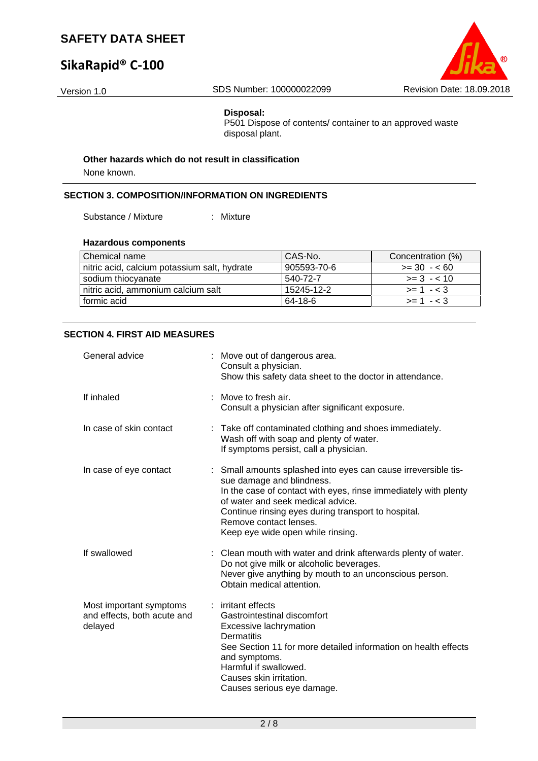# **SikaRapid® C‐100**



#### **Disposal:**

P501 Dispose of contents/ container to an approved waste disposal plant.

#### **Other hazards which do not result in classification**

None known.

#### **SECTION 3. COMPOSITION/INFORMATION ON INGREDIENTS**

Substance / Mixture : Mixture

#### **Hazardous components**

| Chemical name                                | CAS-No.     | Concentration (%) |
|----------------------------------------------|-------------|-------------------|
| nitric acid, calcium potassium salt, hydrate | 905593-70-6 | $>= 30 - 60$      |
| sodium thiocyanate                           | 540-72-7    | $>= 3 - 10$       |
| nitric acid, ammonium calcium salt           | 15245-12-2  | $>= 1 - 3$        |
| formic acid                                  | 64-18-6     | $>= 1 - 3$        |

#### **SECTION 4. FIRST AID MEASURES**

| General advice                                                    | : Move out of dangerous area.<br>Consult a physician.<br>Show this safety data sheet to the doctor in attendance.                                                                                                                                                                                                         |
|-------------------------------------------------------------------|---------------------------------------------------------------------------------------------------------------------------------------------------------------------------------------------------------------------------------------------------------------------------------------------------------------------------|
| If inhaled                                                        | : Move to fresh air.<br>Consult a physician after significant exposure.                                                                                                                                                                                                                                                   |
| In case of skin contact                                           | : Take off contaminated clothing and shoes immediately.<br>Wash off with soap and plenty of water.<br>If symptoms persist, call a physician.                                                                                                                                                                              |
| In case of eye contact                                            | : Small amounts splashed into eyes can cause irreversible tis-<br>sue damage and blindness.<br>In the case of contact with eyes, rinse immediately with plenty<br>of water and seek medical advice.<br>Continue rinsing eyes during transport to hospital.<br>Remove contact lenses.<br>Keep eye wide open while rinsing. |
| If swallowed                                                      | : Clean mouth with water and drink afterwards plenty of water.<br>Do not give milk or alcoholic beverages.<br>Never give anything by mouth to an unconscious person.<br>Obtain medical attention.                                                                                                                         |
| Most important symptoms<br>and effects, both acute and<br>delayed | : irritant effects<br>Gastrointestinal discomfort<br>Excessive lachrymation<br>Dermatitis<br>See Section 11 for more detailed information on health effects<br>and symptoms.<br>Harmful if swallowed.<br>Causes skin irritation.<br>Causes serious eye damage.                                                            |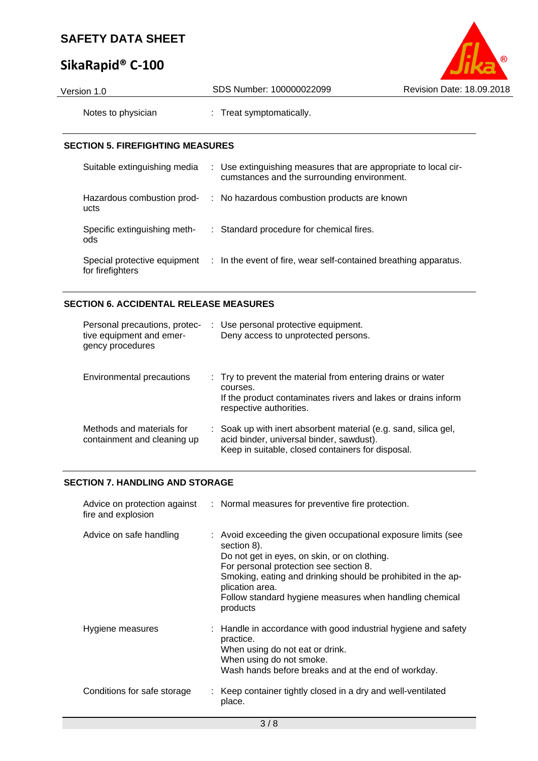# **SikaRapid® C‐100**



| Version 1.0                             | SDS Number: 100000022099                                                                                       | Revision Date: 18.09.2018 |
|-----------------------------------------|----------------------------------------------------------------------------------------------------------------|---------------------------|
| Notes to physician                      | : Treat symptomatically.                                                                                       |                           |
| <b>SECTION 5. FIREFIGHTING MEASURES</b> |                                                                                                                |                           |
| Suitable extinguishing media            | : Use extinguishing measures that are appropriate to local cir-<br>cumstances and the surrounding environment. |                           |
| Hazardous combustion prod-<br>ucts      | : No hazardous combustion products are known                                                                   |                           |

ods Special protective equipment : In the event of fire, wear self-contained breathing apparatus. for firefighters

Specific extinguishing meth-: Standard procedure for chemical fires.

### **SECTION 6. ACCIDENTAL RELEASE MEASURES**

| Personal precautions, protec-<br>tive equipment and emer-<br>gency procedures | : Use personal protective equipment.<br>Deny access to unprotected persons.                                                                                         |
|-------------------------------------------------------------------------------|---------------------------------------------------------------------------------------------------------------------------------------------------------------------|
| Environmental precautions                                                     | : Try to prevent the material from entering drains or water<br>courses.<br>If the product contaminates rivers and lakes or drains inform<br>respective authorities. |
| Methods and materials for<br>containment and cleaning up                      | : Soak up with inert absorbent material (e.g. sand, silica gel,<br>acid binder, universal binder, sawdust).<br>Keep in suitable, closed containers for disposal.    |

#### **SECTION 7. HANDLING AND STORAGE**

| Advice on protection against<br>fire and explosion | : Normal measures for preventive fire protection.                                                                                                                                                                                                                                                                                |
|----------------------------------------------------|----------------------------------------------------------------------------------------------------------------------------------------------------------------------------------------------------------------------------------------------------------------------------------------------------------------------------------|
| Advice on safe handling                            | : Avoid exceeding the given occupational exposure limits (see<br>section 8).<br>Do not get in eyes, on skin, or on clothing.<br>For personal protection see section 8.<br>Smoking, eating and drinking should be prohibited in the ap-<br>plication area.<br>Follow standard hygiene measures when handling chemical<br>products |
| Hygiene measures                                   | $\therefore$ Handle in accordance with good industrial hygiene and safety<br>practice.<br>When using do not eat or drink.<br>When using do not smoke.<br>Wash hands before breaks and at the end of workday.                                                                                                                     |
| Conditions for safe storage                        | : Keep container tightly closed in a dry and well-ventilated<br>place.                                                                                                                                                                                                                                                           |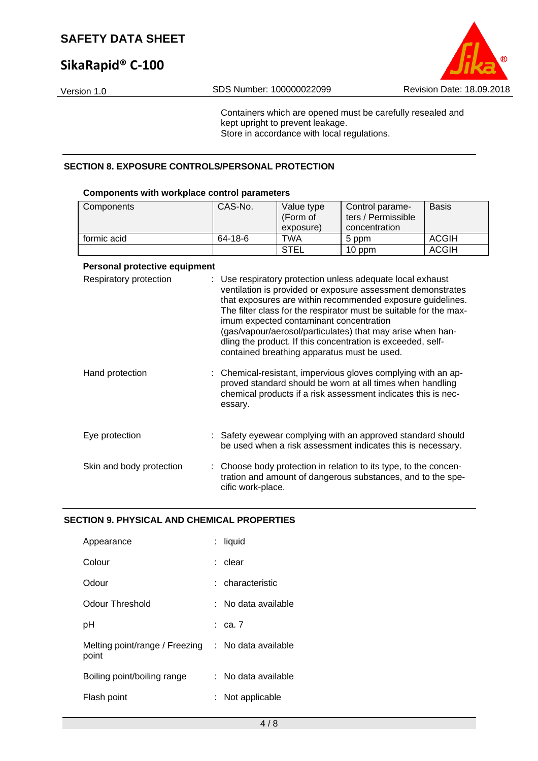# **SikaRapid® C‐100**



Containers which are opened must be carefully resealed and kept upright to prevent leakage. Store in accordance with local regulations.

#### **SECTION 8. EXPOSURE CONTROLS/PERSONAL PROTECTION**

#### **Components with workplace control parameters**

| Components  | CAS-No. | Value type<br>(Form of<br>exposure) | Control parame-<br>ters / Permissible<br>concentration | <b>Basis</b> |
|-------------|---------|-------------------------------------|--------------------------------------------------------|--------------|
| formic acid | 64-18-6 | <b>TWA</b>                          | 5 ppm                                                  | <b>ACGIH</b> |
|             |         | <b>STEL</b>                         | 10 ppm                                                 | ACGIH        |

#### **Personal protective equipment**

| Respiratory protection   | : Use respiratory protection unless adequate local exhaust<br>ventilation is provided or exposure assessment demonstrates<br>that exposures are within recommended exposure guidelines.<br>The filter class for the respirator must be suitable for the max-<br>imum expected contaminant concentration<br>(gas/vapour/aerosol/particulates) that may arise when han-<br>dling the product. If this concentration is exceeded, self-<br>contained breathing apparatus must be used. |
|--------------------------|-------------------------------------------------------------------------------------------------------------------------------------------------------------------------------------------------------------------------------------------------------------------------------------------------------------------------------------------------------------------------------------------------------------------------------------------------------------------------------------|
| Hand protection          | : Chemical-resistant, impervious gloves complying with an ap-<br>proved standard should be worn at all times when handling<br>chemical products if a risk assessment indicates this is nec-<br>essary.                                                                                                                                                                                                                                                                              |
| Eye protection           | : Safety eyewear complying with an approved standard should<br>be used when a risk assessment indicates this is necessary.                                                                                                                                                                                                                                                                                                                                                          |
| Skin and body protection | : Choose body protection in relation to its type, to the concen-<br>tration and amount of dangerous substances, and to the spe-<br>cific work-place.                                                                                                                                                                                                                                                                                                                                |

#### **SECTION 9. PHYSICAL AND CHEMICAL PROPERTIES**

| Appearance                              | t. | liquid              |
|-----------------------------------------|----|---------------------|
| Colour                                  |    | : clear             |
| Odour                                   |    | : characteristic    |
| Odour Threshold                         | ٠. | No data available   |
| pH                                      |    | $rac{1}{2}$ ca. 7   |
| Melting point/range / Freezing<br>point |    | : No data available |
| Boiling point/boiling range             |    | : No data available |
| Flash point                             |    | Not applicable      |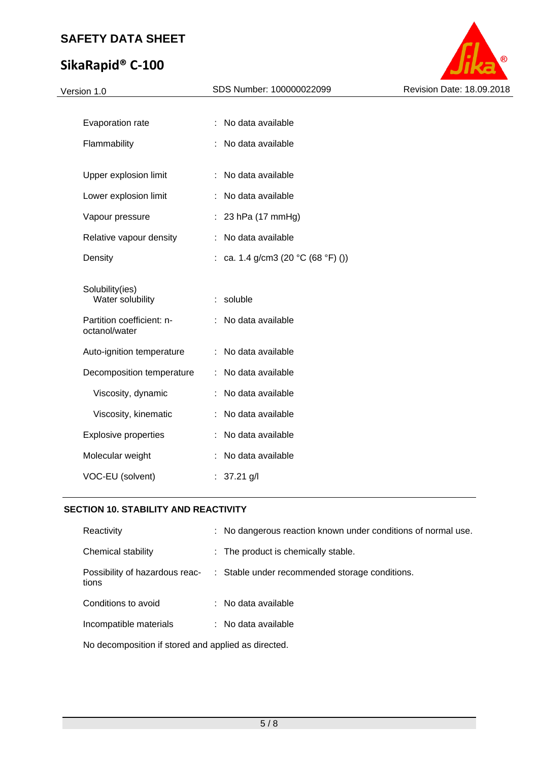# **SikaRapid® C‐100**



| Version 1.0                                                      | SDS Number: 100000022099           | Revision Date: 18.09.2018 |
|------------------------------------------------------------------|------------------------------------|---------------------------|
|                                                                  |                                    |                           |
| Evaporation rate                                                 | : No data available                |                           |
| Flammability                                                     | No data available                  |                           |
| Upper explosion limit                                            | : No data available                |                           |
| Lower explosion limit                                            | No data available<br>÷             |                           |
| Vapour pressure                                                  | 23 hPa (17 mmHg)                   |                           |
| Relative vapour density                                          | : No data available                |                           |
| Density                                                          | : ca. 1.4 g/cm3 (20 °C (68 °F) ()) |                           |
| Solubility(ies)<br>Water solubility<br>Partition coefficient: n- | : soluble<br>: No data available   |                           |
| octanol/water                                                    |                                    |                           |
| Auto-ignition temperature                                        | : No data available                |                           |
| Decomposition temperature                                        | : No data available                |                           |
| Viscosity, dynamic                                               | : No data available                |                           |
| Viscosity, kinematic                                             | : No data available                |                           |
| <b>Explosive properties</b>                                      | No data available                  |                           |
| Molecular weight                                                 | : No data available                |                           |
| VOC-EU (solvent)                                                 | : $37.21$ g/l                      |                           |
|                                                                  |                                    |                           |

#### **SECTION 10. STABILITY AND REACTIVITY**

| Reactivity                                          | : No dangerous reaction known under conditions of normal use.                 |
|-----------------------------------------------------|-------------------------------------------------------------------------------|
| Chemical stability                                  | : The product is chemically stable.                                           |
| tions                                               | Possibility of hazardous reac- : Stable under recommended storage conditions. |
| Conditions to avoid                                 | : No data available                                                           |
| Incompatible materials                              | : No data available                                                           |
| No decomposition if stored and applied as directed. |                                                                               |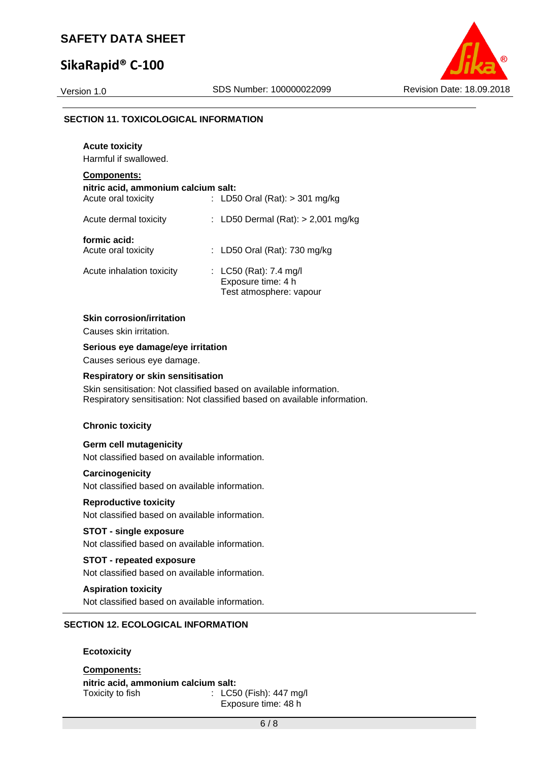### **SikaRapid® C‐100**

**Acute toxicity** 



#### **SECTION 11. TOXICOLOGICAL INFORMATION**

| Harmful if swallowed.                                                            |                                                                         |
|----------------------------------------------------------------------------------|-------------------------------------------------------------------------|
| <b>Components:</b><br>nitric acid, ammonium calcium salt:<br>Acute oral toxicity | : LD50 Oral (Rat): $>$ 301 mg/kg                                        |
| Acute dermal toxicity                                                            | : LD50 Dermal $(Rat):$ > 2,001 mg/kg                                    |
| formic acid:<br>Acute oral toxicity                                              | : LD50 Oral (Rat): 730 mg/kg                                            |
| Acute inhalation toxicity                                                        | : LC50 (Rat): 7.4 mg/l<br>Exposure time: 4 h<br>Test atmosphere: vapour |

#### **Skin corrosion/irritation**

Causes skin irritation.

#### **Serious eye damage/eye irritation**

Causes serious eye damage.

#### **Respiratory or skin sensitisation**

Skin sensitisation: Not classified based on available information. Respiratory sensitisation: Not classified based on available information.

#### **Chronic toxicity**

#### **Germ cell mutagenicity**

Not classified based on available information.

#### **Carcinogenicity**

Not classified based on available information.

### **Reproductive toxicity**

Not classified based on available information.

#### **STOT - single exposure**

Not classified based on available information.

#### **STOT - repeated exposure**

Not classified based on available information.

#### **Aspiration toxicity**

Not classified based on available information.

#### **SECTION 12. ECOLOGICAL INFORMATION**

#### **Ecotoxicity**

**Components: nitric acid, ammonium calcium salt:**  Toxicity to fish : LC50 (Fish): 447 mg/l Exposure time: 48 h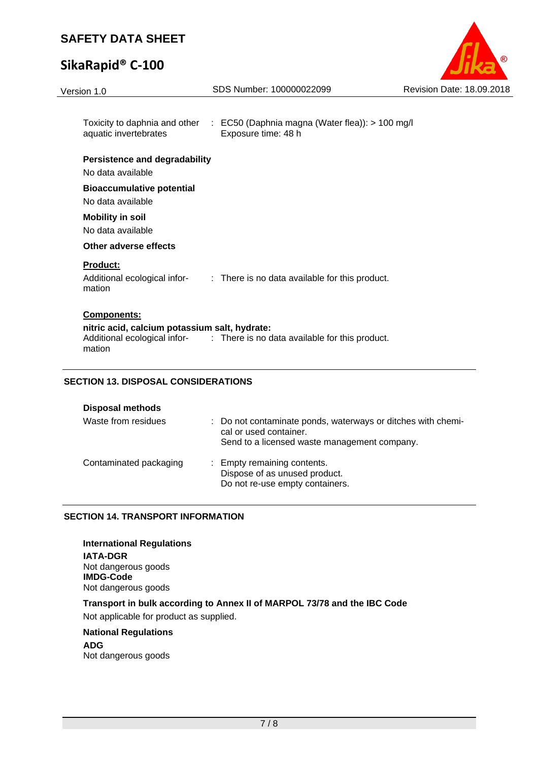# **SikaRapid® C‐100**



| Toxicity to daphnia and other : EC50 (Daphnia magna (Water flea)): > 100 mg/l<br>aquatic invertebrates<br>Exposure time: 48 h                                |  |
|--------------------------------------------------------------------------------------------------------------------------------------------------------------|--|
| <b>Persistence and degradability</b>                                                                                                                         |  |
| No data available                                                                                                                                            |  |
| <b>Bioaccumulative potential</b><br>No data available                                                                                                        |  |
| <b>Mobility in soil</b>                                                                                                                                      |  |
| No data available                                                                                                                                            |  |
| Other adverse effects                                                                                                                                        |  |
| <b>Product:</b><br>Additional ecological infor-<br>: There is no data available for this product.<br>mation                                                  |  |
| <b>Components:</b><br>nitric acid, calcium potassium salt, hydrate:<br>Additional ecological infor- : There is no data available for this product.<br>mation |  |

### **SECTION 13. DISPOSAL CONSIDERATIONS**

| <b>Disposal methods</b> |                                                                                                                                        |
|-------------------------|----------------------------------------------------------------------------------------------------------------------------------------|
| Waste from residues     | : Do not contaminate ponds, waterways or ditches with chemi-<br>cal or used container.<br>Send to a licensed waste management company. |
| Contaminated packaging  | : Empty remaining contents.<br>Dispose of as unused product.<br>Do not re-use empty containers.                                        |

#### **SECTION 14. TRANSPORT INFORMATION**

**International Regulations IATA-DGR**  Not dangerous goods

**IMDG-Code**  Not dangerous goods

#### **Transport in bulk according to Annex II of MARPOL 73/78 and the IBC Code**  Not applicable for product as supplied.

#### **National Regulations**

**ADG**  Not dangerous goods